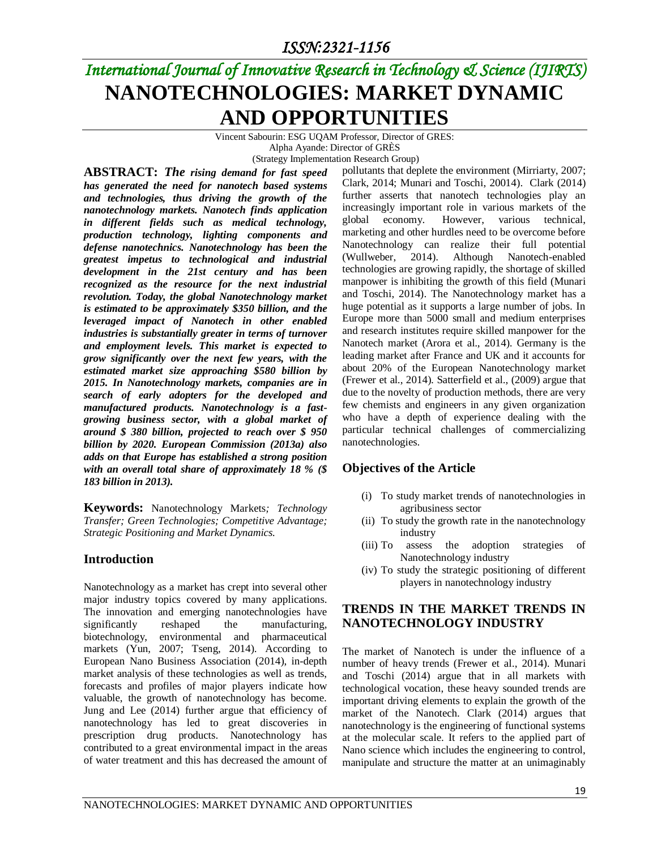# *International Journal of Innovative Research in Technology & Science (IJIRTS)* **NANOTECHNOLOGIES: MARKET DYNAMIC AND OPPORTUNITIES**

Vincent Sabourin: ESG UQAM Professor, Director of GRES:

Alpha Ayande: Director of GRÈS

(Strategy Implementation Research Group)

**ABSTRACT:** *The rising demand for fast speed has generated the need for nanotech based systems and technologies, thus driving the growth of the nanotechnology markets. Nanotech finds application in different fields such as medical technology, production technology, lighting components and defense nanotechnics. Nanotechnology has been the greatest impetus to technological and industrial development in the 21st century and has been recognized as the resource for the next industrial revolution. Today, the global Nanotechnology market is estimated to be approximately \$350 billion, and the leveraged impact of Nanotech in other enabled industries is substantially greater in terms of turnover and employment levels. This market is expected to grow significantly over the next few years, with the estimated market size approaching \$580 billion by 2015. In Nanotechnology markets, companies are in search of early adopters for the developed and manufactured products. Nanotechnology is a fastgrowing business sector, with a global market of around \$ 380 billion, projected to reach over \$ 950 billion by 2020. European Commission (2013a) also adds on that Europe has established a strong position with an overall total share of approximately 18 % (\$ 183 billion in 2013).*

**Keywords:** Nanotechnology Markets*; Technology Transfer; Green Technologies; Competitive Advantage; Strategic Positioning and Market Dynamics.*

#### **Introduction**

Nanotechnology as a market has crept into several other major industry topics covered by many applications. The innovation and emerging nanotechnologies have significantly reshaped the manufacturing, biotechnology, environmental and pharmaceutical markets (Yun, 2007; Tseng, 2014). According to European Nano Business Association (2014), in-depth market analysis of these technologies as well as trends, forecasts and profiles of major players indicate how valuable, the growth of nanotechnology has become. Jung and Lee (2014) further argue that efficiency of nanotechnology has led to great discoveries in prescription drug products. Nanotechnology has contributed to a great environmental impact in the areas of water treatment and this has decreased the amount of pollutants that deplete the environment (Mirriarty, 2007; Clark, 2014; Munari and Toschi, 20014). Clark (2014) further asserts that nanotech technologies play an increasingly important role in various markets of the global economy. However, various technical, marketing and other hurdles need to be overcome before Nanotechnology can realize their full potential (Wullweber, 2014). Although Nanotech-enabled technologies are growing rapidly, the shortage of skilled manpower is inhibiting the growth of this field (Munari and Toschi, 2014). The Nanotechnology market has a huge potential as it supports a large number of jobs. In Europe more than 5000 small and medium enterprises and research institutes require skilled manpower for the Nanotech market (Arora et al., 2014). Germany is the leading market after France and UK and it accounts for about 20% of the European Nanotechnology market (Frewer et al., 2014). Satterfield et al., (2009) argue that due to the novelty of production methods, there are very few chemists and engineers in any given organization who have a depth of experience dealing with the particular technical challenges of commercializing nanotechnologies.

#### **Objectives of the Article**

- (i) To study market trends of nanotechnologies in agribusiness sector
- (ii) To study the growth rate in the nanotechnology industry
- (iii) To assess the adoption strategies of Nanotechnology industry
- (iv) To study the strategic positioning of different players in nanotechnology industry

#### **TRENDS IN THE MARKET TRENDS IN NANOTECHNOLOGY INDUSTRY**

The market of Nanotech is under the influence of a number of heavy trends (Frewer et al., 2014). Munari and Toschi (2014) argue that in all markets with technological vocation, these heavy sounded trends are important driving elements to explain the growth of the market of the Nanotech. Clark (2014) argues that nanotechnology is the engineering of functional systems at the molecular scale. It refers to the applied part of Nano science which includes the engineering to control, manipulate and structure the matter at an unimaginably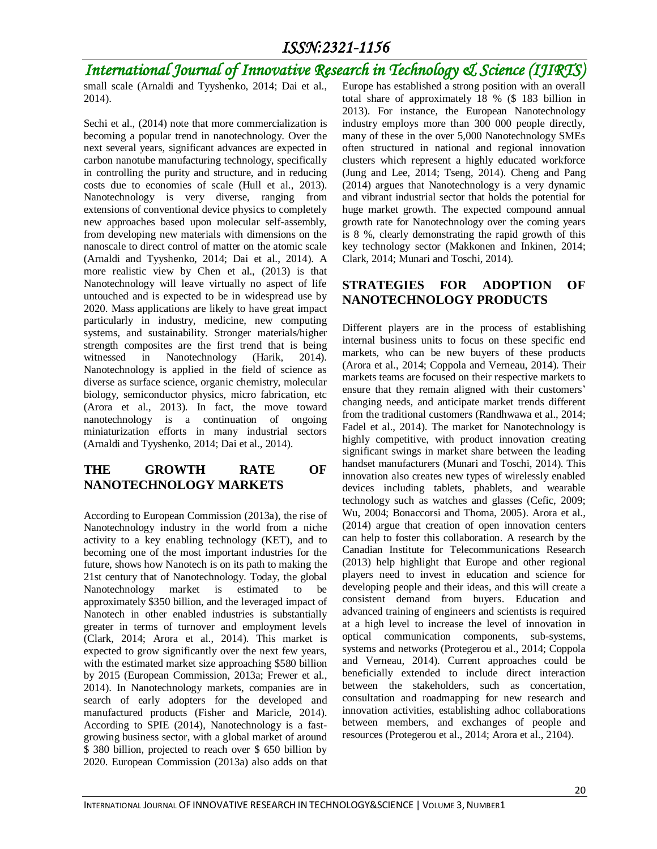# *International Journal of Innovative Research in Technology & Science (IJIRTS)*

small scale (Arnaldi and Tyyshenko, 2014; Dai et al., 2014).

Sechi et al.,  $(2014)$  note that more commercialization is becoming a popular trend in nanotechnology. Over the next several years, significant advances are expected in carbon nanotube manufacturing technology, specifically in controlling the purity and structure, and in reducing costs due to economies of scale (Hull et al., 2013). Nanotechnology is very diverse, ranging from extensions of conventional device physics to completely new approaches based upon molecular self-assembly, from developing new materials with dimensions on the nanoscale to direct control of matter on the atomic scale (Arnaldi and Tyyshenko, 2014; Dai et al., 2014). A more realistic view by Chen et al., (2013) is that Nanotechnology will leave virtually no aspect of life untouched and is expected to be in widespread use by 2020. Mass applications are likely to have great impact particularly in industry, medicine, new computing systems, and sustainability. Stronger materials/higher strength composites are the first trend that is being witnessed in Nanotechnology (Harik, 2014). Nanotechnology is applied in the field of science as diverse as surface science, organic chemistry, molecular biology, semiconductor physics, micro fabrication, etc (Arora et al., 2013). In fact, the move toward nanotechnology is a continuation of ongoing miniaturization efforts in many industrial sectors (Arnaldi and Tyyshenko, 2014; Dai et al., 2014).

### **THE GROWTH RATE OF NANOTECHNOLOGY MARKETS**

According to European Commission (2013a), the rise of Nanotechnology industry in the world from a niche activity to a key enabling technology (KET), and to becoming one of the most important industries for the future, shows how Nanotech is on its path to making the 21st century that of Nanotechnology. Today, the global Nanotechnology market is estimated to be approximately \$350 billion, and the leveraged impact of Nanotech in other enabled industries is substantially greater in terms of turnover and employment levels (Clark, 2014; Arora et al., 2014). This market is expected to grow significantly over the next few years, with the estimated market size approaching \$580 billion by 2015 (European Commission, 2013a; Frewer et al., 2014). In Nanotechnology markets, companies are in search of early adopters for the developed and manufactured products (Fisher and Maricle, 2014). According to SPIE (2014), Nanotechnology is a fastgrowing business sector, with a global market of around \$ 380 billion, projected to reach over \$ 650 billion by 2020. European Commission (2013a) also adds on that Europe has established a strong position with an overall total share of approximately 18 % (\$ 183 billion in 2013). For instance, the European Nanotechnology industry employs more than 300 000 people directly, many of these in the over 5,000 Nanotechnology SMEs often structured in national and regional innovation clusters which represent a highly educated workforce (Jung and Lee, 2014; Tseng, 2014). Cheng and Pang (2014) argues that Nanotechnology is a very dynamic and vibrant industrial sector that holds the potential for huge market growth. The expected compound annual growth rate for Nanotechnology over the coming years is 8 %, clearly demonstrating the rapid growth of this key technology sector (Makkonen and Inkinen, 2014; Clark, 2014; Munari and Toschi, 2014).

### **STRATEGIES FOR ADOPTION OF NANOTECHNOLOGY PRODUCTS**

Different players are in the process of establishing internal business units to focus on these specific end markets, who can be new buyers of these products (Arora et al., 2014; Coppola and Verneau, 2014). Their markets teams are focused on their respective markets to ensure that they remain aligned with their customers' changing needs, and anticipate market trends different from the traditional customers (Randhwawa et al., 2014; Fadel et al., 2014). The market for Nanotechnology is highly competitive, with product innovation creating significant swings in market share between the leading handset manufacturers (Munari and Toschi, 2014). This innovation also creates new types of wirelessly enabled devices including tablets, phablets, and wearable technology such as watches and glasses (Cefic, 2009; Wu, 2004; Bonaccorsi and Thoma, 2005). Arora et al., (2014) argue that creation of open innovation centers can help to foster this collaboration. A research by the Canadian Institute for Telecommunications Research (2013) help highlight that Europe and other regional players need to invest in education and science for developing people and their ideas, and this will create a consistent demand from buyers. Education and advanced training of engineers and scientists is required at a high level to increase the level of innovation in optical communication components, sub-systems, systems and networks (Protegerou et al., 2014; Coppola and Verneau, 2014). Current approaches could be beneficially extended to include direct interaction between the stakeholders, such as concertation, consultation and roadmapping for new research and innovation activities, establishing adhoc collaborations between members, and exchanges of people and resources (Protegerou et al., 2014; Arora et al., 2104).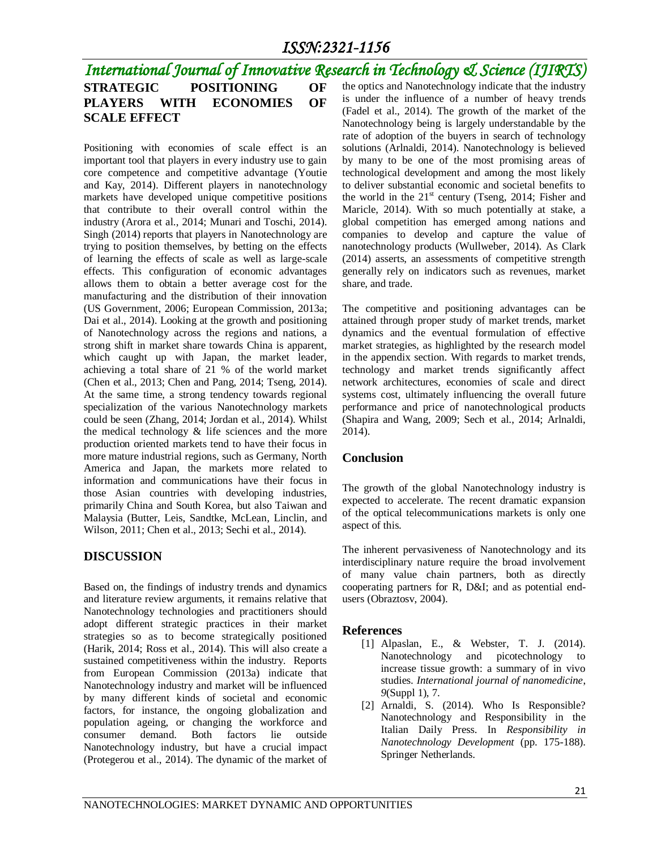#### *International Journal of Innovative Research in Technology & Science (IJIRTS)* **STRATEGIC POSITIONING OF PLAYERS WITH ECONOMIES OF SCALE EFFECT** the optics and Nanotechnology indicate that the industry is under the influence of a number of heavy trends (Fadel et al., 2014). The growth of the market of the

Positioning with economies of scale effect is an important tool that players in every industry use to gain core competence and competitive advantage (Youtie and Kay, 2014). Different players in nanotechnology markets have developed unique competitive positions that contribute to their overall control within the industry (Arora et al., 2014; Munari and Toschi, 2014). Singh (2014) reports that players in Nanotechnology are trying to position themselves, by betting on the effects of learning the effects of scale as well as large-scale effects. This configuration of economic advantages allows them to obtain a better average cost for the manufacturing and the distribution of their innovation (US Government, 2006; European Commission, 2013a; Dai et al., 2014). Looking at the growth and positioning of Nanotechnology across the regions and nations, a strong shift in market share towards China is apparent, which caught up with Japan, the market leader, achieving a total share of 21 % of the world market (Chen et al., 2013; Chen and Pang, 2014; Tseng, 2014). At the same time, a strong tendency towards regional specialization of the various Nanotechnology markets could be seen (Zhang, 2014; Jordan et al., 2014). Whilst the medical technology & life sciences and the more production oriented markets tend to have their focus in more mature industrial regions, such as Germany, North America and Japan, the markets more related to information and communications have their focus in those Asian countries with developing industries, primarily China and South Korea, but also Taiwan and Malaysia (Butter, Leis, Sandtke, McLean, Linclin, and Wilson, 2011; Chen et al., 2013; Sechi et al., 2014).

#### **DISCUSSION**

Based on, the findings of industry trends and dynamics and literature review arguments, it remains relative that Nanotechnology technologies and practitioners should adopt different strategic practices in their market strategies so as to become strategically positioned (Harik, 2014; Ross et al., 2014). This will also create a sustained competitiveness within the industry. Reports from European Commission (2013a) indicate that Nanotechnology industry and market will be influenced by many different kinds of societal and economic factors, for instance, the ongoing globalization and population ageing, or changing the workforce and consumer demand. Both factors lie outside Nanotechnology industry, but have a crucial impact (Protegerou et al., 2014). The dynamic of the market of

Nanotechnology being is largely understandable by the rate of adoption of the buyers in search of technology solutions (Arlnaldi, 2014). Nanotechnology is believed by many to be one of the most promising areas of technological development and among the most likely to deliver substantial economic and societal benefits to the world in the  $21<sup>st</sup>$  century (Tseng, 2014; Fisher and Maricle, 2014). With so much potentially at stake, a global competition has emerged among nations and companies to develop and capture the value of nanotechnology products (Wullweber, 2014). As Clark (2014) asserts, an assessments of competitive strength generally rely on indicators such as revenues, market share, and trade.

The competitive and positioning advantages can be attained through proper study of market trends, market dynamics and the eventual formulation of effective market strategies, as highlighted by the research model in the appendix section. With regards to market trends, technology and market trends significantly affect network architectures, economies of scale and direct systems cost, ultimately influencing the overall future performance and price of nanotechnological products (Shapira and Wang, 2009; Sech et al., 2014; Arlnaldi, 2014).

#### **Conclusion**

The growth of the global Nanotechnology industry is expected to accelerate. The recent dramatic expansion of the optical telecommunications markets is only one aspect of this.

The inherent pervasiveness of Nanotechnology and its interdisciplinary nature require the broad involvement of many value chain partners, both as directly cooperating partners for R, D&I; and as potential endusers (Obraztosv, 2004).

#### **References**

- [1] Alpaslan, E., & Webster, T. J. (2014). Nanotechnology and picotechnology to increase tissue growth: a summary of in vivo studies. *International journal of nanomedicine*, *9*(Suppl 1), 7.
- [2] Arnaldi, S. (2014). Who Is Responsible? Nanotechnology and Responsibility in the Italian Daily Press. In *Responsibility in Nanotechnology Development* (pp. 175-188). Springer Netherlands.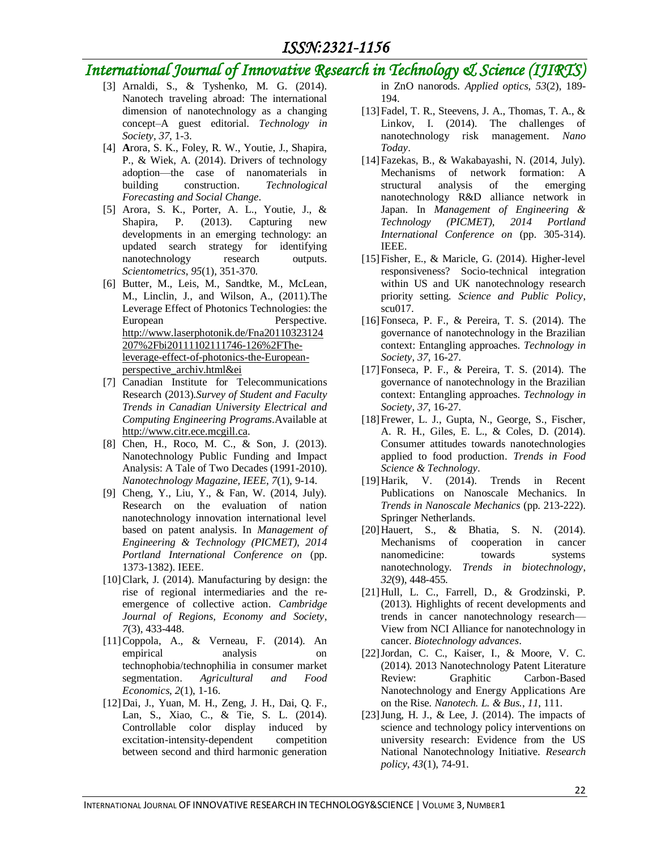## *International Journal of Innovative Research in Technology & Science (IJIRTS)*

- [3] Arnaldi, S., & Tyshenko, M. G. (2014). Nanotech traveling abroad: The international dimension of nanotechnology as a changing concept–A guest editorial. *Technology in Society*, *37*, 1-3.
- [4] **A**rora, S. K., Foley, R. W., Youtie, J., Shapira, P., & Wiek, A. (2014). Drivers of technology adoption—the case of nanomaterials in building construction. *Technological Forecasting and Social Change*.
- [5] Arora, S. K., Porter, A. L., Youtie, J., & Shapira, P. (2013). Capturing new developments in an emerging technology: an updated search strategy for identifying nanotechnology research outputs. *Scientometrics*, *95*(1), 351-370.
- [6] Butter, M., Leis, M., Sandtke, M., McLean, M., Linclin, J., and Wilson, A., (2011).The Leverage Effect of Photonics Technologies: the European Perspective. [http://www.laserphotonik.de/Fna20110323124](http://www.laserphotonik.de/Fna20110323124207%2Fbi20111102111746-126%2FThe-leverage-effect-of-photonics-the-European-perspective_archiv.html&ei) [207%2Fbi20111102111746-126%2FThe](http://www.laserphotonik.de/Fna20110323124207%2Fbi20111102111746-126%2FThe-leverage-effect-of-photonics-the-European-perspective_archiv.html&ei)[leverage-effect-of-photonics-the-European](http://www.laserphotonik.de/Fna20110323124207%2Fbi20111102111746-126%2FThe-leverage-effect-of-photonics-the-European-perspective_archiv.html&ei)[perspective\\_archiv.html&ei](http://www.laserphotonik.de/Fna20110323124207%2Fbi20111102111746-126%2FThe-leverage-effect-of-photonics-the-European-perspective_archiv.html&ei)
- [7] Canadian Institute for Telecommunications Research (2013).*Survey of Student and Faculty Trends in Canadian University Electrical and Computing Engineering Programs*.Available at [http://www.citr.ece.mcgill.ca.](http://www.citr.ece.mcgill.ca/)
- [8] Chen, H., Roco, M. C., & Son, J. (2013). Nanotechnology Public Funding and Impact Analysis: A Tale of Two Decades (1991-2010). *Nanotechnology Magazine, IEEE*, *7*(1), 9-14.
- [9] Cheng, Y., Liu, Y., & Fan, W. (2014, July). Research on the evaluation of nation nanotechnology innovation international level based on patent analysis. In *Management of Engineering & Technology (PICMET), 2014 Portland International Conference on* (pp. 1373-1382). IEEE.
- [10] Clark, J. (2014). Manufacturing by design: the rise of regional intermediaries and the reemergence of collective action. *Cambridge Journal of Regions, Economy and Society*, *7*(3), 433-448.
- [11]Coppola, A., & Verneau, F. (2014). An empirical analysis on technophobia/technophilia in consumer market segmentation. *Agricultural and Food Economics*, *2*(1), 1-16.
- [12]Dai, J., Yuan, M. H., Zeng, J. H., Dai, Q. F., Lan, S., Xiao, C., & Tie, S. L. (2014). Controllable color display induced by excitation-intensity-dependent competition between second and third harmonic generation

in ZnO nanorods. *Applied optics*, *53*(2), 189- 194.

- [13]Fadel, T. R., Steevens, J. A., Thomas, T. A., & Linkov, I. (2014). The challenges of nanotechnology risk management. *Nano Today*.
- [14]Fazekas, B., & Wakabayashi, N. (2014, July). Mechanisms of network formation: A structural analysis of the emerging nanotechnology R&D alliance network in Japan. In *Management of Engineering & Technology (PICMET), 2014 Portland International Conference on* (pp. 305-314). IEEE.
- [15]Fisher, E., & Maricle, G. (2014). Higher-level responsiveness? Socio-technical integration within US and UK nanotechnology research priority setting. *Science and Public Policy*, scu017.
- [16]Fonseca, P. F., & Pereira, T. S. (2014). The governance of nanotechnology in the Brazilian context: Entangling approaches. *Technology in Society*, *37*, 16-27.
- [17]Fonseca, P. F., & Pereira, T. S. (2014). The governance of nanotechnology in the Brazilian context: Entangling approaches. *Technology in Society*, *37*, 16-27.
- [18]Frewer, L. J., Gupta, N., George, S., Fischer, A. R. H., Giles, E. L., & Coles, D. (2014). Consumer attitudes towards nanotechnologies applied to food production. *Trends in Food Science & Technology*.
- [19]Harik, V. (2014). Trends in Recent Publications on Nanoscale Mechanics. In *Trends in Nanoscale Mechanics* (pp. 213-222). Springer Netherlands.
- [20]Hauert, S., & Bhatia, S. N. (2014). Mechanisms of cooperation in cancer nanomedicine: towards systems nanotechnology. *Trends in biotechnology*, *32*(9), 448-455.
- [21]Hull, L. C., Farrell, D., & Grodzinski, P. (2013). Highlights of recent developments and trends in cancer nanotechnology research— View from NCI Alliance for nanotechnology in cancer. *Biotechnology advances*.
- [22]Jordan, C. C., Kaiser, I., & Moore, V. C. (2014). 2013 Nanotechnology Patent Literature Review: Graphitic Carbon-Based Nanotechnology and Energy Applications Are on the Rise. *Nanotech. L. & Bus.*, *11*, 111.
- $[23]$ Jung, H. J., & Lee, J.  $(2014)$ . The impacts of science and technology policy interventions on university research: Evidence from the US National Nanotechnology Initiative. *Research policy*, *43*(1), 74-91.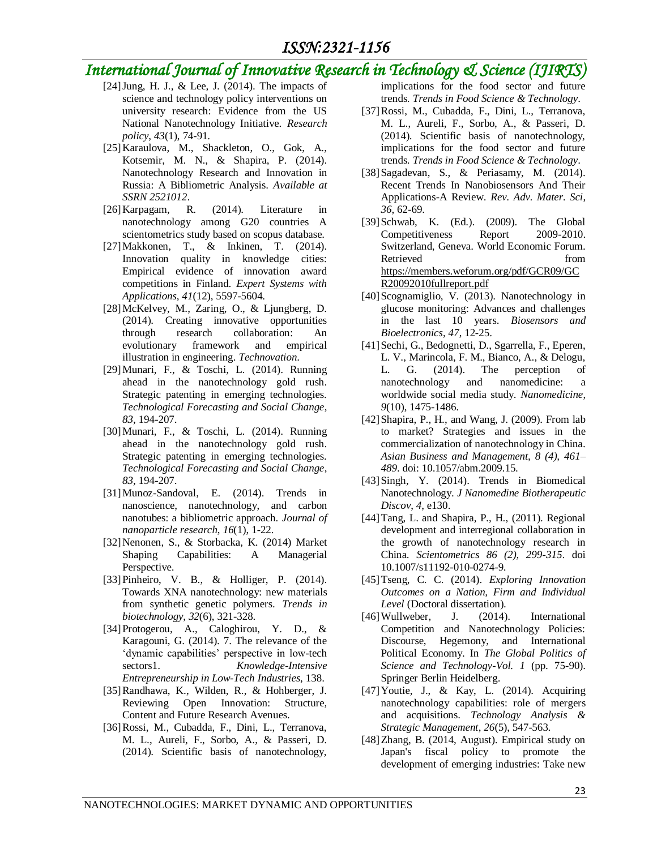## *International Journal of Innovative Research in Technology & Science (IJIRTS)*

- [24]Jung, H. J., & Lee, J. (2014). The impacts of science and technology policy interventions on university research: Evidence from the US National Nanotechnology Initiative. *Research policy*, *43*(1), 74-91.
- [25]Karaulova, M., Shackleton, O., Gok, A., Kotsemir, M. N., & Shapira, P. (2014). Nanotechnology Research and Innovation in Russia: A Bibliometric Analysis. *Available at SSRN 2521012*.
- [26]Karpagam, R. (2014). Literature in nanotechnology among G20 countries A scientometrics study based on scopus database.
- [27]Makkonen, T., & Inkinen, T. (2014). Innovation quality in knowledge cities: Empirical evidence of innovation award competitions in Finland. *Expert Systems with Applications*, *41*(12), 5597-5604.
- [28]McKelvey, M., Zaring, O., & Ljungberg, D. (2014). Creating innovative opportunities through research collaboration: An evolutionary framework and empirical illustration in engineering. *Technovation*.
- [29]Munari, F., & Toschi, L. (2014). Running ahead in the nanotechnology gold rush. Strategic patenting in emerging technologies. *Technological Forecasting and Social Change*, *83*, 194-207.
- [30]Munari, F., & Toschi, L. (2014). Running ahead in the nanotechnology gold rush. Strategic patenting in emerging technologies. *Technological Forecasting and Social Change*, *83*, 194-207.
- [31]Munoz-Sandoval, E. (2014). Trends in nanoscience, nanotechnology, and carbon nanotubes: a bibliometric approach. *Journal of nanoparticle research*, *16*(1), 1-22.
- [32]Nenonen, S., & Storbacka, K. (2014) Market Shaping Capabilities: A Managerial Perspective.
- [33] Pinheiro, V. B., & Holliger, P. (2014). Towards XNA nanotechnology: new materials from synthetic genetic polymers. *Trends in biotechnology*, *32*(6), 321-328.
- [34]Protogerou, A., Caloghirou, Y. D., & Karagouni, G. (2014). 7. The relevance of the 'dynamic capabilities' perspective in low-tech sectors1. *Knowledge-Intensive Entrepreneurship in Low-Tech Industries*, 138.
- [35]Randhawa, K., Wilden, R., & Hohberger, J. Reviewing Open Innovation: Structure, Content and Future Research Avenues.
- [36]Rossi, M., Cubadda, F., Dini, L., Terranova, M. L., Aureli, F., Sorbo, A., & Passeri, D. (2014). Scientific basis of nanotechnology,

implications for the food sector and future trends. *Trends in Food Science & Technology*.

- [37]Rossi, M., Cubadda, F., Dini, L., Terranova, M. L., Aureli, F., Sorbo, A., & Passeri, D. (2014). Scientific basis of nanotechnology, implications for the food sector and future trends. *Trends in Food Science & Technology*.
- [38]Sagadevan, S., & Periasamy, M. (2014). Recent Trends In Nanobiosensors And Their Applications-A Review. *Rev. Adv. Mater. Sci*, *36*, 62-69.
- [39]Schwab, K. (Ed.). (2009). The Global Competitiveness Report 2009-2010. Switzerland, Geneva. World Economic Forum. Retrieved from  $\sim$ [https://members.weforum.org/pdf/GCR09/GC](https://members.weforum.org/pdf/GCR09/GCR20092010fullreport.pdf) [R20092010fullreport.pdf](https://members.weforum.org/pdf/GCR09/GCR20092010fullreport.pdf)
- [40] Scognamiglio, V. (2013). Nanotechnology in glucose monitoring: Advances and challenges in the last 10 years. *Biosensors and Bioelectronics*, *47*, 12-25.
- [41]Sechi, G., Bedognetti, D., Sgarrella, F., Eperen, L. V., Marincola, F. M., Bianco, A., & Delogu, L. G. (2014). The perception of nanotechnology and nanomedicine: a worldwide social media study. *Nanomedicine*, *9*(10), 1475-1486.
- [42] Shapira, P., H., and Wang, J. (2009). From lab to market? Strategies and issues in the commercialization of nanotechnology in China. *Asian Business and Management, 8 (4), 461– 489*. doi: 10.1057/abm.2009.15.
- [43]Singh, Y. (2014). Trends in Biomedical Nanotechnology. *J Nanomedine Biotherapeutic Discov*, *4*, e130.
- [44]Tang, L. and Shapira, P., H., (2011). Regional development and interregional collaboration in the growth of nanotechnology research in China. *Scientometrics 86 (2), 299-315*. doi 10.1007/s11192-010-0274-9.
- [45]Tseng, C. C. (2014). *Exploring Innovation Outcomes on a Nation, Firm and Individual Level* (Doctoral dissertation).
- [46]Wullweber, J. (2014). International Competition and Nanotechnology Policies: Discourse, Hegemony, and International Political Economy. In *The Global Politics of Science and Technology-Vol. 1* (pp. 75-90). Springer Berlin Heidelberg.
- [47]Youtie, J., & Kay, L. (2014). Acquiring nanotechnology capabilities: role of mergers and acquisitions. *Technology Analysis & Strategic Management*, *26*(5), 547-563.
- [48]Zhang, B. (2014, August). Empirical study on Japan's fiscal policy to promote the development of emerging industries: Take new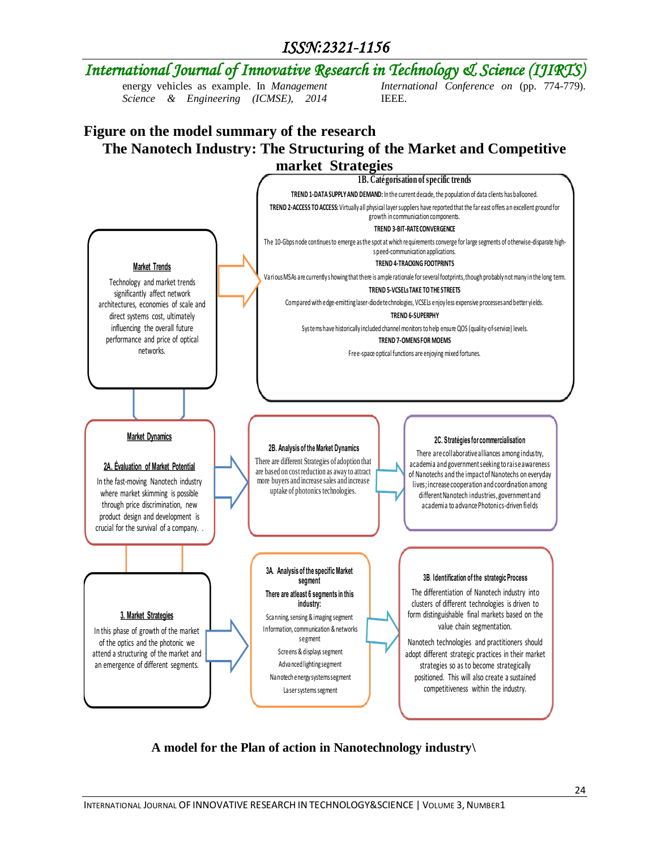#### *International Journal of Innovative Research in Technology & Science (IJIRTS)* energy vehicles as example. In *Management Science & Engineering (ICMSE), 2014 International Conference on* (pp. 774-779). IEEE.

### **Figure on the model summary of the research The Nanotech Industry: The Structuring of the Market and Competitive market Strategies**



### **A model for the Plan of action in Nanotechnology industry\**